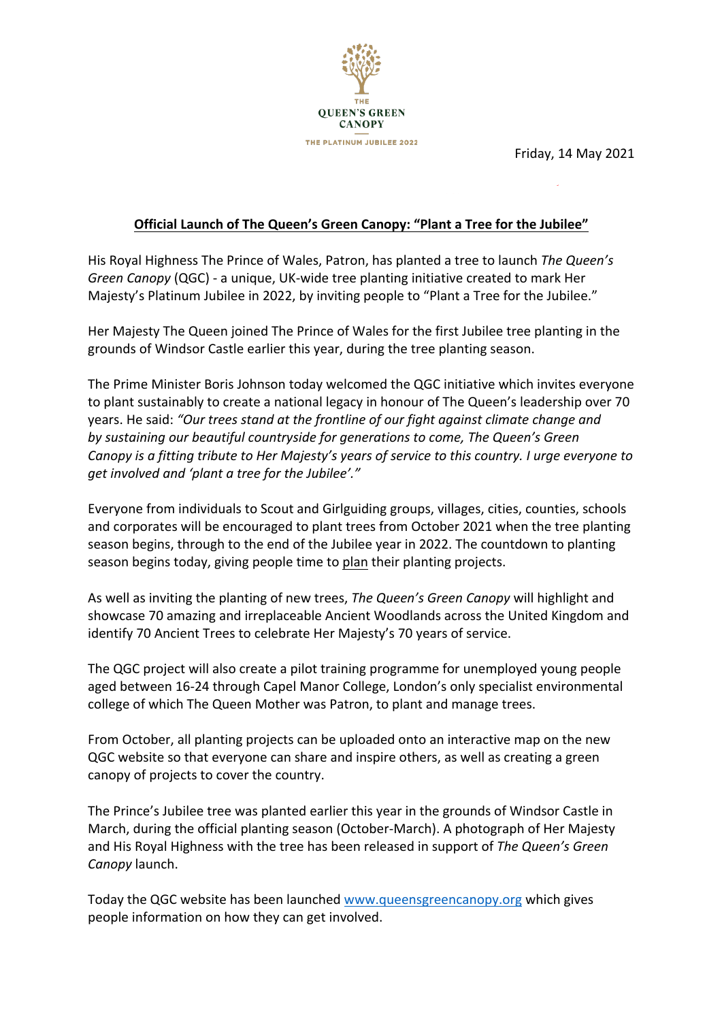

Friday, 14 May 2021

### **Official Launch of The Queen's Green Canopy: "Plant a Tree for the Jubilee"**

**\*\*UNDER STRICT EMBARGO – 0001 BST MONDAY 17 MAY 2021\*\***

His Royal Highness The Prince of Wales, Patron, has planted a tree to launch *The Queen's Green Canopy* (QGC) - a unique, UK-wide tree planting initiative created to mark Her Majesty's Platinum Jubilee in 2022, by inviting people to "Plant a Tree for the Jubilee."

Her Majesty The Queen joined The Prince of Wales for the first Jubilee tree planting in the grounds of Windsor Castle earlier this year, during the tree planting season.

The Prime Minister Boris Johnson today welcomed the QGC initiative which invites everyone to plant sustainably to create a national legacy in honour of The Queen's leadership over 70 years. He said: *"Our trees stand at the frontline of our fight against climate change and by sustaining our beautiful countryside for generations to come, The Queen's Green Canopy is a fitting tribute to Her Majesty's years of service to this country. I urge everyone to get involved and 'plant a tree for the Jubilee'."*

Everyone from individuals to Scout and Girlguiding groups, villages, cities, counties, schools and corporates will be encouraged to plant trees from October 2021 when the tree planting season begins, through to the end of the Jubilee year in 2022. The countdown to planting season begins today, giving people time to plan their planting projects.

As well as inviting the planting of new trees, *The Queen's Green Canopy* will highlight and showcase 70 amazing and irreplaceable Ancient Woodlands across the United Kingdom and identify 70 Ancient Trees to celebrate Her Majesty's 70 years of service.

The QGC project will also create a pilot training programme for unemployed young people aged between 16-24 through Capel Manor College, London's only specialist environmental college of which The Queen Mother was Patron, to plant and manage trees.

From October, all planting projects can be uploaded onto an interactive map on the new QGC website so that everyone can share and inspire others, as well as creating a green canopy of projects to cover the country.

The Prince's Jubilee tree was planted earlier this year in the grounds of Windsor Castle in March, during the official planting season (October-March). A photograph of Her Majesty and His Royal Highness with the tree has been released in support of *The Queen's Green Canopy* launch.

Today the QGC website has been launched www.queensgreencanopy.org which gives people information on how they can get involved.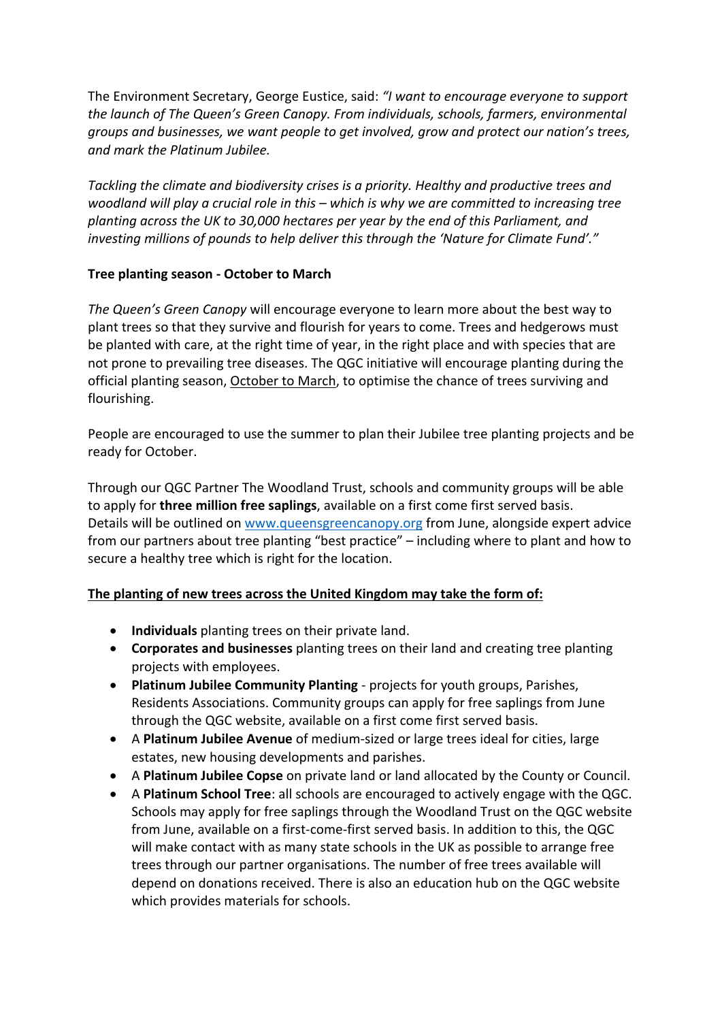The Environment Secretary, George Eustice, said: *"I want to encourage everyone to support the launch of The Queen's Green Canopy. From individuals, schools, farmers, environmental groups and businesses, we want people to get involved, grow and protect our nation's trees, and mark the Platinum Jubilee.*

*Tackling the climate and biodiversity crises is a priority. Healthy and productive trees and woodland will play a crucial role in this – which is why we are committed to increasing tree planting across the UK to 30,000 hectares per year by the end of this Parliament, and investing millions of pounds to help deliver this through the 'Nature for Climate Fund'."*

#### **Tree planting season - October to March**

*The Queen's Green Canopy* will encourage everyone to learn more about the best way to plant trees so that they survive and flourish for years to come. Trees and hedgerows must be planted with care, at the right time of year, in the right place and with species that are not prone to prevailing tree diseases. The QGC initiative will encourage planting during the official planting season, October to March, to optimise the chance of trees surviving and flourishing.

People are encouraged to use the summer to plan their Jubilee tree planting projects and be ready for October.

Through our QGC Partner The Woodland Trust, schools and community groups will be able to apply for **three million free saplings**, available on a first come first served basis. Details will be outlined on www.queensgreencanopy.org from June, alongside expert advice from our partners about tree planting "best practice" – including where to plant and how to secure a healthy tree which is right for the location.

### **The planting of new trees across the United Kingdom may take the form of:**

- **Individuals** planting trees on their private land.
- **Corporates and businesses** planting trees on their land and creating tree planting projects with employees.
- **Platinum Jubilee Community Planting** projects for youth groups, Parishes, Residents Associations. Community groups can apply for free saplings from June through the QGC website, available on a first come first served basis.
- A **Platinum Jubilee Avenue** of medium-sized or large trees ideal for cities, large estates, new housing developments and parishes.
- A **Platinum Jubilee Copse** on private land or land allocated by the County or Council.
- A **Platinum School Tree**: all schools are encouraged to actively engage with the QGC. Schools may apply for free saplings through the Woodland Trust on the QGC website from June, available on a first-come-first served basis. In addition to this, the QGC will make contact with as many state schools in the UK as possible to arrange free trees through our partner organisations. The number of free trees available will depend on donations received. There is also an education hub on the QGC website which provides materials for schools.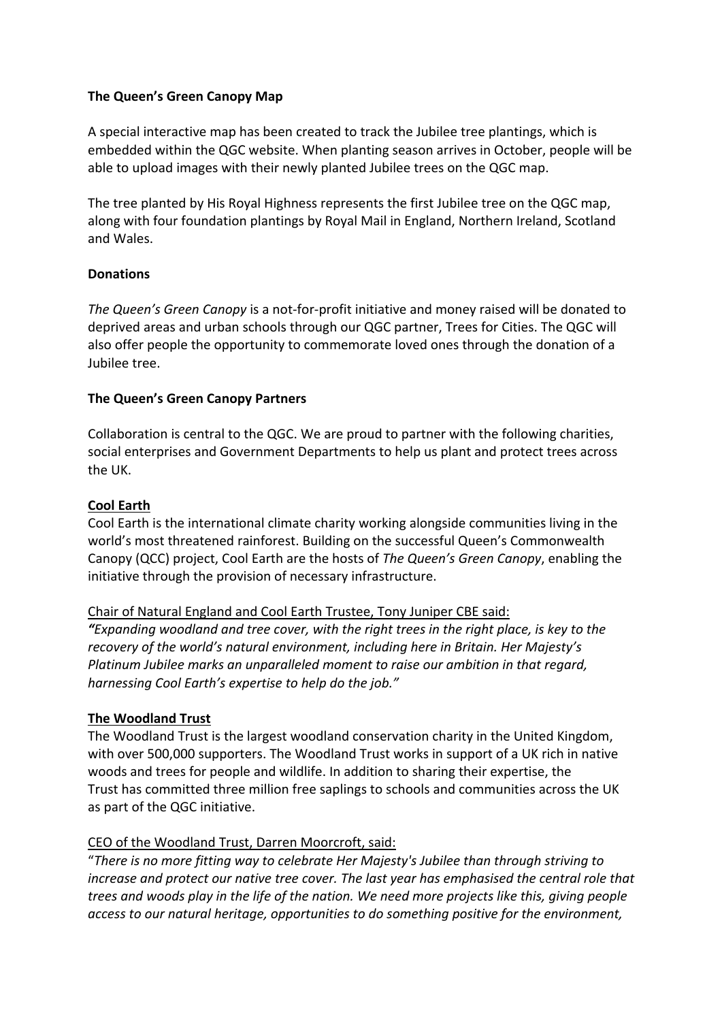#### **The Queen's Green Canopy Map**

A special interactive map has been created to track the Jubilee tree plantings, which is embedded within the QGC website. When planting season arrives in October, people will be able to upload images with their newly planted Jubilee trees on the QGC map.

The tree planted by His Royal Highness represents the first Jubilee tree on the QGC map, along with four foundation plantings by Royal Mail in England, Northern Ireland, Scotland and Wales.

#### **Donations**

*The Queen's Green Canopy* is a not-for-profit initiative and money raised will be donated to deprived areas and urban schools through our QGC partner, Trees for Cities. The QGC will also offer people the opportunity to commemorate loved ones through the donation of a Jubilee tree.

#### **The Queen's Green Canopy Partners**

Collaboration is central to the QGC. We are proud to partner with the following charities, social enterprises and Government Departments to help us plant and protect trees across the UK.

#### **Cool Earth**

Cool Earth is the international climate charity working alongside communities living in the world's most threatened rainforest. Building on the successful Queen's Commonwealth Canopy (QCC) project, Cool Earth are the hosts of *The Queen's Green Canopy*, enabling the initiative through the provision of necessary infrastructure.

### Chair of Natural England and Cool Earth Trustee, Tony Juniper CBE said:

*"Expanding woodland and tree cover, with the right trees in the right place, is key to the recovery of the world's natural environment, including here in Britain. Her Majesty's Platinum Jubilee marks an unparalleled moment to raise our ambition in that regard, harnessing Cool Earth's expertise to help do the job."*

#### **The Woodland Trust**

The Woodland Trust is the largest woodland conservation charity in the United Kingdom, with over 500,000 supporters. The Woodland Trust works in support of a UK rich in native woods and trees for people and wildlife. In addition to sharing their expertise, the Trust has committed three million free saplings to schools and communities across the UK as part of the QGC initiative.

### CEO of the Woodland Trust, Darren Moorcroft, said:

"*There is no more fitting way to celebrate Her Majesty's Jubilee than through striving to increase and protect our native tree cover. The last year has emphasised the central role that trees and woods play in the life of the nation. We need more projects like this, giving people access to our natural heritage, opportunities to do something positive for the environment,*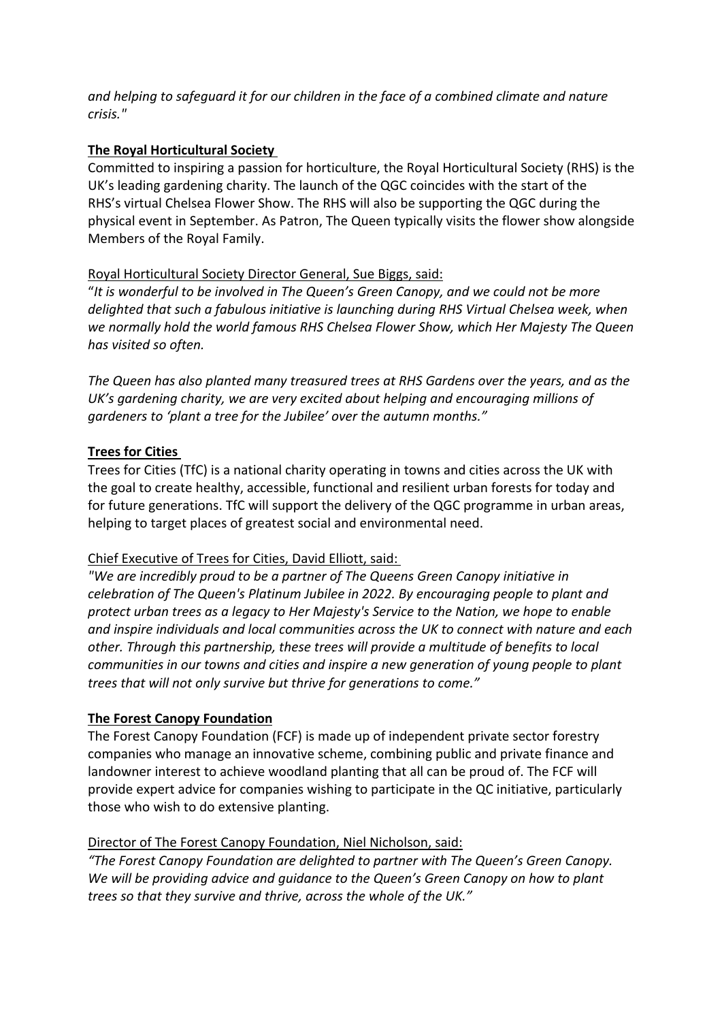*and helping to safeguard it for our children in the face of a combined climate and nature crisis."*

### **The Royal Horticultural Society**

Committed to inspiring a passion for horticulture, the Royal Horticultural Society (RHS) is the UK's leading gardening charity. The launch of the QGC coincides with the start of the RHS's virtual Chelsea Flower Show. The RHS will also be supporting the QGC during the physical event in September. As Patron, The Queen typically visits the flower show alongside Members of the Royal Family.

## Royal Horticultural Society Director General, Sue Biggs, said:

"*It is wonderful to be involved in The Queen's Green Canopy, and we could not be more delighted that such a fabulous initiative is launching during RHS Virtual Chelsea week, when we normally hold the world famous RHS Chelsea Flower Show, which Her Majesty The Queen has visited so often.*

*The Queen has also planted many treasured trees at RHS Gardens over the years, and as the UK's gardening charity, we are very excited about helping and encouraging millions of gardeners to 'plant a tree for the Jubilee' over the autumn months."*

## **Trees for Cities**

Trees for Cities (TfC) is a national charity operating in towns and cities across the UK with the goal to create healthy, accessible, functional and resilient urban forests for today and for future generations. TfC will support the delivery of the QGC programme in urban areas, helping to target places of greatest social and environmental need.

# Chief Executive of Trees for Cities, David Elliott, said:

*"We are incredibly proud to be a partner of The Queens Green Canopy initiative in celebration of The Queen's Platinum Jubilee in 2022. By encouraging people to plant and protect urban trees as a legacy to Her Majesty's Service to the Nation, we hope to enable and inspire individuals and local communities across the UK to connect with nature and each other. Through this partnership, these trees will provide a multitude of benefits to local communities in our towns and cities and inspire a new generation of young people to plant trees that will not only survive but thrive for generations to come."*

### **The Forest Canopy Foundation**

The Forest Canopy Foundation (FCF) is made up of independent private sector forestry companies who manage an innovative scheme, combining public and private finance and landowner interest to achieve woodland planting that all can be proud of. The FCF will provide expert advice for companies wishing to participate in the QC initiative, particularly those who wish to do extensive planting.

# Director of The Forest Canopy Foundation, Niel Nicholson, said:

*"The Forest Canopy Foundation are delighted to partner with The Queen's Green Canopy. We will be providing advice and guidance to the Queen's Green Canopy on how to plant trees so that they survive and thrive, across the whole of the UK."*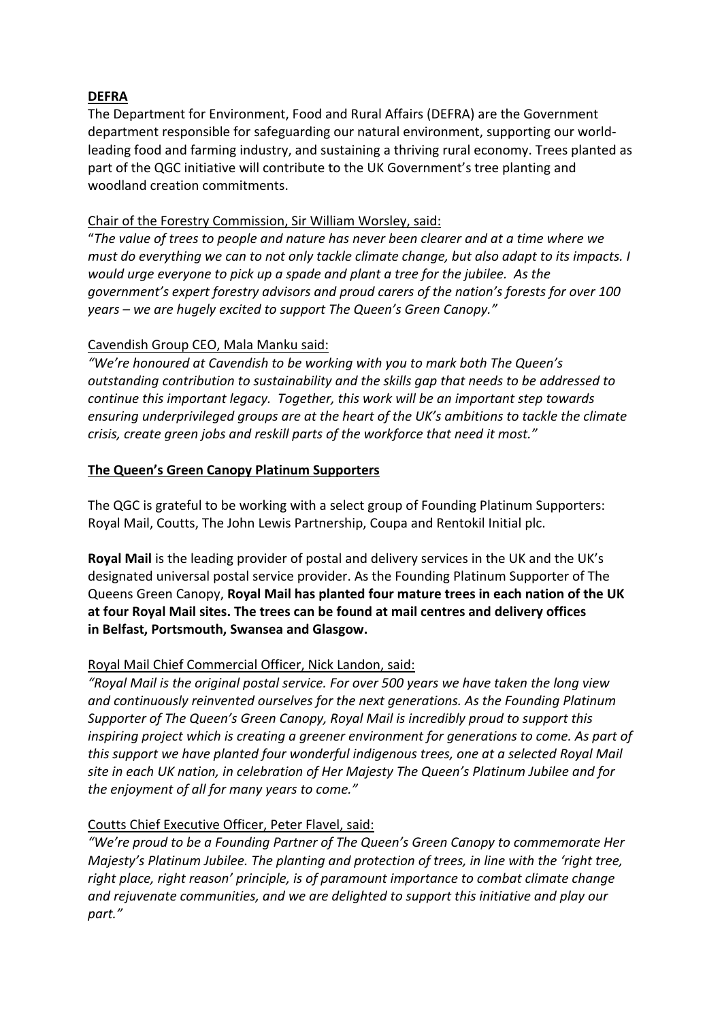### **DEFRA**

The Department for Environment, Food and Rural Affairs (DEFRA) are the Government department responsible for safeguarding our natural environment, supporting our worldleading food and farming industry, and sustaining a thriving rural economy. Trees planted as part of the QGC initiative will contribute to the UK Government's tree planting and woodland creation commitments.

#### Chair of the Forestry Commission, Sir William Worsley, said:

"*The value of trees to people and nature has never been clearer and at a time where we must do everything we can to not only tackle climate change, but also adapt to its impacts. I would urge everyone to pick up a spade and plant a tree for the jubilee. As the government's expert forestry advisors and proud carers of the nation's forests for over 100 years – we are hugely excited to support The Queen's Green Canopy."*

#### Cavendish Group CEO, Mala Manku said:

*"We're honoured at Cavendish to be working with you to mark both The Queen's outstanding contribution to sustainability and the skills gap that needs to be addressed to continue this important legacy.**Together, this work will be an important step towards ensuring underprivileged groups are at the heart of the UK's ambitions to tackle the climate crisis, create green jobs and reskill parts of the workforce that need it most."*

#### **The Queen's Green Canopy Platinum Supporters**

The QGC is grateful to be working with a select group of Founding Platinum Supporters: Royal Mail, Coutts, The John Lewis Partnership, Coupa and Rentokil Initial plc.

**Royal Mail** is the leading provider of postal and delivery services in the UK and the UK's designated universal postal service provider. As the Founding Platinum Supporter of The Queens Green Canopy, **Royal Mail has planted four mature trees in each nation of the UK at four Royal Mail sites. The trees can be found at mail centres and delivery offices in Belfast, Portsmouth, Swansea and Glasgow.**

### Royal Mail Chief Commercial Officer, Nick Landon, said:

*"Royal Mail is the original postal service. For over 500 years we have taken the long view and continuously reinvented ourselves for the next generations. As the Founding Platinum Supporter of The Queen's Green Canopy, Royal Mail is incredibly proud to support this inspiring project which is creating a greener environment for generations to come. As part of this support we have planted four wonderful indigenous trees, one at a selected Royal Mail site in each UK nation, in celebration of Her Majesty The Queen's Platinum Jubilee and for the enjoyment of all for many years to come."*

### Coutts Chief Executive Officer, Peter Flavel, said:

*"We're proud to be a Founding Partner of The Queen's Green Canopy to commemorate Her Majesty's Platinum Jubilee. The planting and protection of trees, in line with the 'right tree, right place, right reason' principle, is of paramount importance to combat climate change and rejuvenate communities, and we are delighted to support this initiative and play our part."*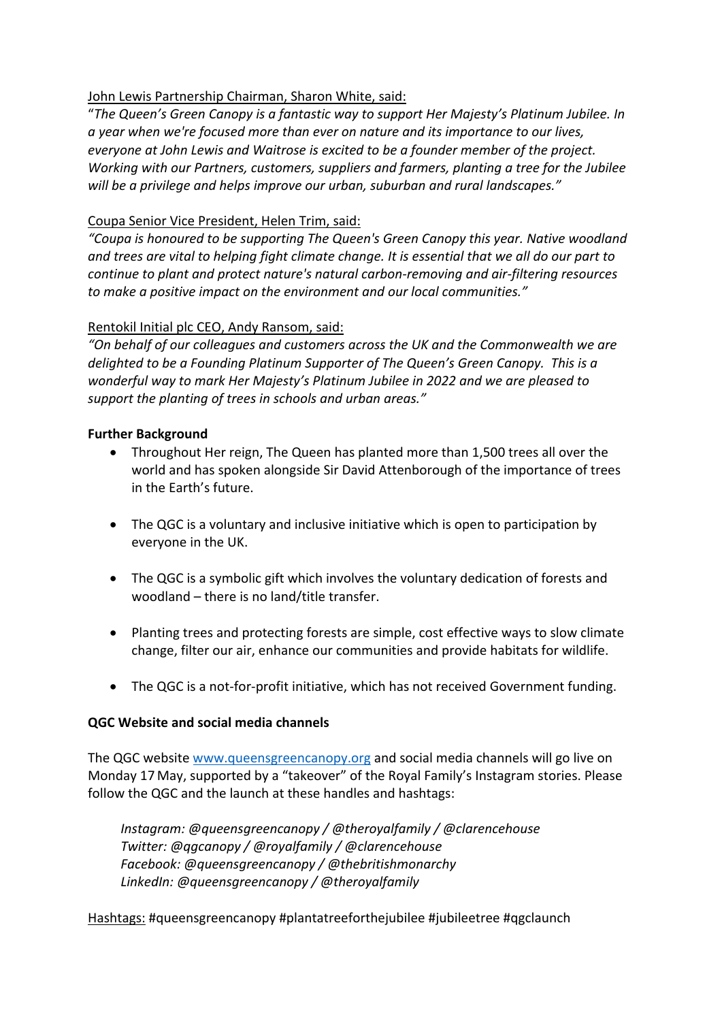### John Lewis Partnership Chairman, Sharon White, said:

"*The Queen's Green Canopy is a fantastic way to support Her Majesty's Platinum Jubilee. In a year when we're focused more than ever on nature and its importance to our lives, everyone at John Lewis and Waitrose is excited to be a founder member of the project. Working with our Partners, customers, suppliers and farmers, planting a tree for the Jubilee will be a privilege and helps improve our urban, suburban and rural landscapes."*

#### Coupa Senior Vice President, Helen Trim, said:

*"Coupa is honoured to be supporting The Queen's Green Canopy this year. Native woodland and trees are vital to helping fight climate change. It is essential that we all do our part to continue to plant and protect nature's natural carbon-removing and air-filtering resources to make a positive impact on the environment and our local communities."*

#### Rentokil Initial plc CEO, Andy Ransom, said:

*"On behalf of our colleagues and customers across the UK and the Commonwealth we are delighted to be a Founding Platinum Supporter of The Queen's Green Canopy. This is a wonderful way to mark Her Majesty's Platinum Jubilee in 2022 and we are pleased to support the planting of trees in schools and urban areas."*

#### **Further Background**

- Throughout Her reign, The Queen has planted more than 1,500 trees all over the world and has spoken alongside Sir David Attenborough of the importance of trees in the Earth's future.
- The QGC is a voluntary and inclusive initiative which is open to participation by everyone in the UK.
- The QGC is a symbolic gift which involves the voluntary dedication of forests and woodland – there is no land/title transfer.
- Planting trees and protecting forests are simple, cost effective ways to slow climate change, filter our air, enhance our communities and provide habitats for wildlife.
- The QGC is a not-for-profit initiative, which has not received Government funding.

### **QGC Website and social media channels**

The QGC website www.queensgreencanopy.org and social media channels will go live on Monday 17 May, supported by a "takeover" of the Royal Family's Instagram stories. Please follow the QGC and the launch at these handles and hashtags:

*Instagram: @queensgreencanopy / @theroyalfamily / @clarencehouse Twitter: @qgcanopy / @royalfamily / @clarencehouse Facebook: @queensgreencanopy / @thebritishmonarchy LinkedIn: @queensgreencanopy / @theroyalfamily*

Hashtags: #queensgreencanopy #plantatreeforthejubilee #jubileetree #qgclaunch